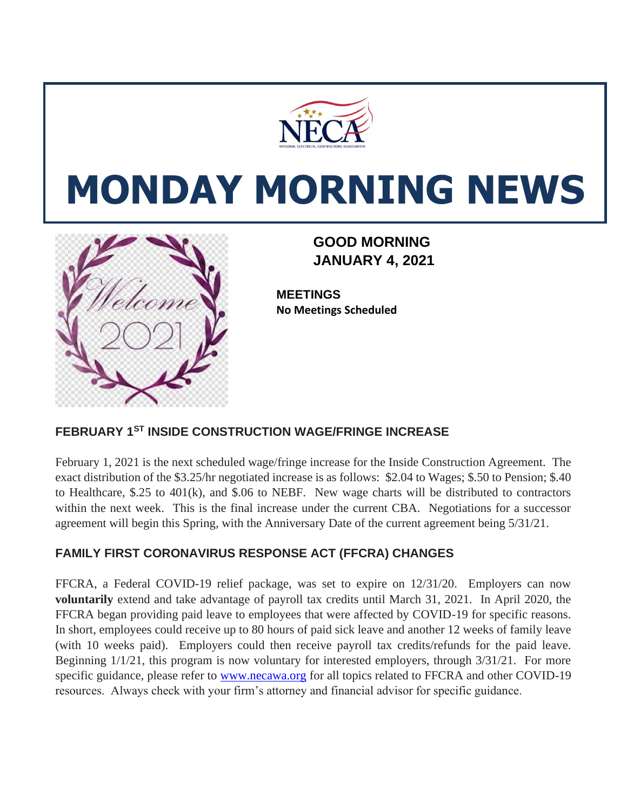

# **MONDAY MORNING NEWS**



 **GOOD MORNING JANUARY 4, 2021**

**MEETINGS No Meetings Scheduled**

#### **FEBRUARY 1ST INSIDE CONSTRUCTION WAGE/FRINGE INCREASE**

February 1, 2021 is the next scheduled wage/fringe increase for the Inside Construction Agreement. The exact distribution of the \$3.25/hr negotiated increase is as follows: \$2.04 to Wages; \$.50 to Pension; \$.40 to Healthcare, \$.25 to 401(k), and \$.06 to NEBF. New wage charts will be distributed to contractors within the next week. This is the final increase under the current CBA. Negotiations for a successor agreement will begin this Spring, with the Anniversary Date of the current agreement being 5/31/21.

#### **FAMILY FIRST CORONAVIRUS RESPONSE ACT (FFCRA) CHANGES**

FFCRA, a Federal COVID-19 relief package, was set to expire on 12/31/20. Employers can now **voluntarily** extend and take advantage of payroll tax credits until March 31, 2021. In April 2020, the FFCRA began providing paid leave to employees that were affected by COVID-19 for specific reasons. In short, employees could receive up to 80 hours of paid sick leave and another 12 weeks of family leave (with 10 weeks paid). Employers could then receive payroll tax credits/refunds for the paid leave. Beginning  $1/1/21$ , this program is now voluntary for interested employers, through  $3/31/21$ . For more specific guidance, please refer to [www.necawa.org](http://www.necawa.org/) for all topics related to FFCRA and other COVID-19 resources. Always check with your firm's attorney and financial advisor for specific guidance.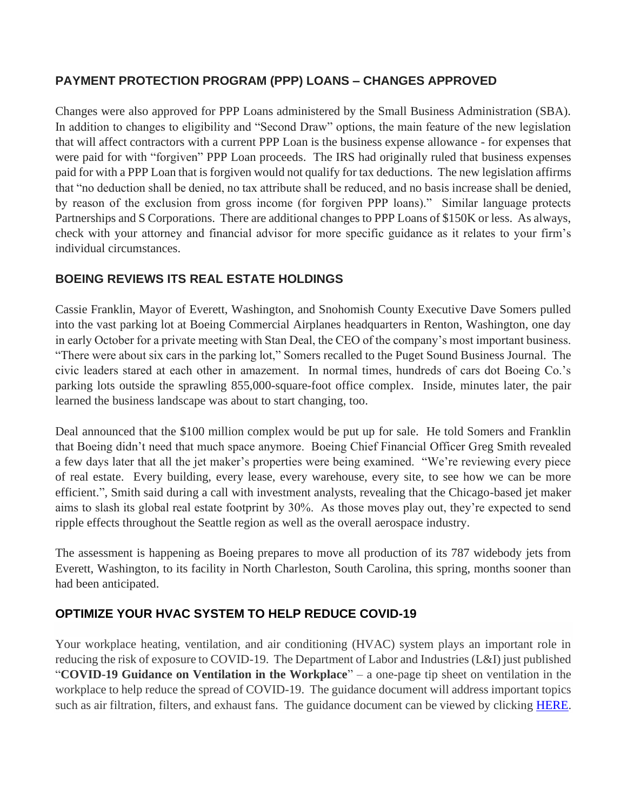### **PAYMENT PROTECTION PROGRAM (PPP) LOANS – CHANGES APPROVED**

Changes were also approved for PPP Loans administered by the Small Business Administration (SBA). In addition to changes to eligibility and "Second Draw" options, the main feature of the new legislation that will affect contractors with a current PPP Loan is the business expense allowance - for expenses that were paid for with "forgiven" PPP Loan proceeds. The IRS had originally ruled that business expenses paid for with a PPP Loan that is forgiven would not qualify for tax deductions. The new legislation affirms that "no deduction shall be denied, no tax attribute shall be reduced, and no basis increase shall be denied, by reason of the exclusion from gross income (for forgiven PPP loans)." Similar language protects Partnerships and S Corporations. There are additional changes to PPP Loans of \$150K or less. As always, check with your attorney and financial advisor for more specific guidance as it relates to your firm's individual circumstances.

# **BOEING REVIEWS ITS REAL ESTATE HOLDINGS**

Cassie Franklin, Mayor of Everett, Washington, and Snohomish County Executive Dave Somers pulled into the vast parking lot at Boeing Commercial Airplanes headquarters in Renton, Washington, one day in early October for a private meeting with Stan Deal, the CEO of the company's most important business. "There were about six cars in the parking lot," Somers recalled to the Puget Sound Business Journal. The civic leaders stared at each other in amazement. In normal times, hundreds of cars dot Boeing Co.'s parking lots outside the sprawling 855,000-square-foot office complex. Inside, minutes later, the pair learned the business landscape was about to start changing, too.

Deal announced that the \$100 million complex would be put up for sale. He told Somers and Franklin that Boeing didn't need that much space anymore. Boeing Chief Financial Officer Greg Smith revealed a few days later that all the jet maker's properties were being examined. "We're reviewing every piece of real estate. Every building, every lease, every warehouse, every site, to see how we can be more efficient.", Smith said during a call with investment analysts, revealing that the Chicago-based jet maker aims to slash its global real estate footprint by 30%. As those moves play out, they're expected to send ripple effects throughout the Seattle region as well as the overall aerospace industry.

The assessment is happening as Boeing prepares to move all production of its 787 widebody jets from Everett, Washington, to its facility in North Charleston, South Carolina, this spring, months sooner than had been anticipated.

# **OPTIMIZE YOUR HVAC SYSTEM TO HELP REDUCE COVID-19**

Your workplace heating, ventilation, and air conditioning (HVAC) system plays an important role in reducing the risk of exposure to COVID-19. The Department of Labor and Industries (L&I) just published "**COVID-19 Guidance on Ventilation in the Workplace**" – a one-page tip sheet on ventilation in the workplace to help reduce the spread of COVID-19. The guidance document will address important topics such as air filtration, filters, and exhaust fans. The guidance document can be viewed by clicking **HERE**.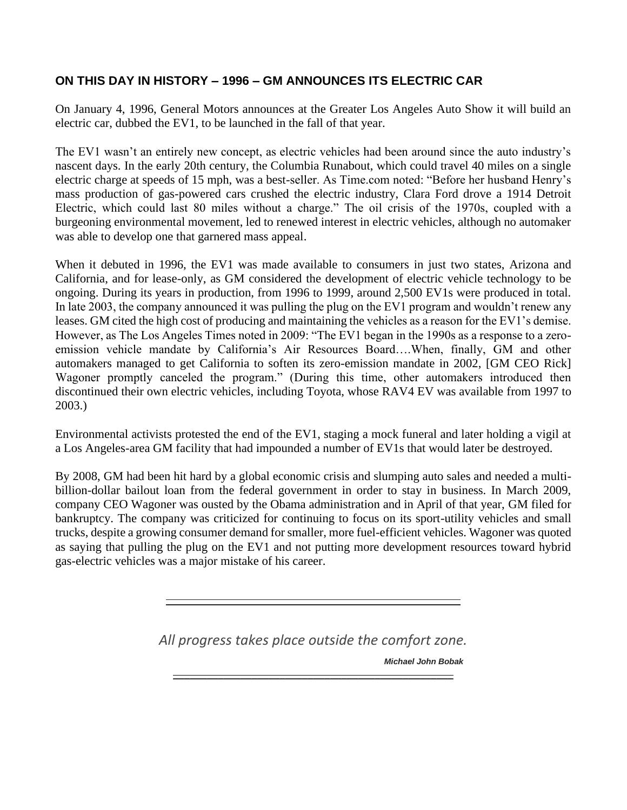## **ON THIS DAY IN HISTORY – 1996 – GM ANNOUNCES ITS ELECTRIC CAR**

On January 4, 1996, General Motors announces at the Greater Los Angeles Auto Show it will build an electric car, dubbed the EV1, to be launched in the fall of that year.

The EV1 wasn't an entirely new concept, as electric vehicles had been around since the auto industry's nascent days. In the early 20th century, the Columbia Runabout, which could travel 40 miles on a single electric charge at speeds of 15 mph, was a best-seller. As Time.com noted: "Before her husband Henry's mass production of gas-powered cars crushed the electric industry, Clara Ford drove a 1914 Detroit Electric, which could last 80 miles without a charge." The oil crisis of the 1970s, coupled with a burgeoning environmental movement, led to renewed interest in electric vehicles, although no automaker was able to develop one that garnered mass appeal.

When it debuted in 1996, the EV1 was made available to consumers in just two states, Arizona and California, and for lease-only, as GM considered the development of electric vehicle technology to be ongoing. During its years in production, from 1996 to 1999, around 2,500 EV1s were produced in total. In late 2003, the company announced it was pulling the plug on the EV1 program and wouldn't renew any leases. GM cited the high cost of producing and maintaining the vehicles as a reason for the EV1's demise. However, as The Los Angeles Times noted in 2009: "The EV1 began in the 1990s as a response to a zeroemission vehicle mandate by California's Air Resources Board….When, finally, GM and other automakers managed to get California to soften its zero-emission mandate in 2002, [GM CEO Rick] Wagoner promptly canceled the program." (During this time, other automakers introduced then discontinued their own electric vehicles, including Toyota, whose RAV4 EV was available from 1997 to 2003.)

Environmental activists protested the end of the EV1, staging a mock funeral and later holding a vigil at a Los Angeles-area GM facility that had impounded a number of EV1s that would later be destroyed.

By 2008, GM had been hit hard by a global economic crisis and slumping auto sales and needed a multibillion-dollar bailout loan from the federal government in order to stay in business. In March 2009, company CEO Wagoner was ousted by the Obama administration and in April of that year, GM filed for bankruptcy. The company was criticized for continuing to focus on its sport-utility vehicles and small trucks, despite a growing consumer demand for smaller, more fuel-efficient vehicles. Wagoner was quoted as saying that pulling the plug on the EV1 and not putting more development resources toward hybrid gas-electric vehicles was a major mistake of his career.

*All progress takes place outside the comfort zone.*

 $\overline{\phantom{a}}$  , and the contract of the contract of the contract of the contract of the contract of the contract of the contract of the contract of the contract of the contract of the contract of the contract of the contrac

*Michael John Bobak*